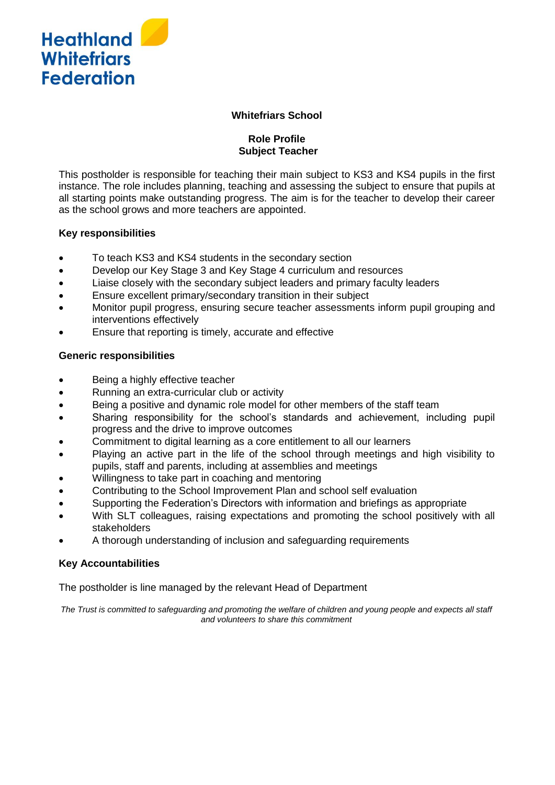

#### **Whitefriars School**

## **Role Profile Subject Teacher**

This postholder is responsible for teaching their main subject to KS3 and KS4 pupils in the first instance. The role includes planning, teaching and assessing the subject to ensure that pupils at all starting points make outstanding progress. The aim is for the teacher to develop their career as the school grows and more teachers are appointed.

## **Key responsibilities**

- To teach KS3 and KS4 students in the secondary section
- Develop our Key Stage 3 and Key Stage 4 curriculum and resources
- Liaise closely with the secondary subject leaders and primary faculty leaders
- Ensure excellent primary/secondary transition in their subject
- Monitor pupil progress, ensuring secure teacher assessments inform pupil grouping and interventions effectively
- Ensure that reporting is timely, accurate and effective

## **Generic responsibilities**

- Being a highly effective teacher
- Running an extra-curricular club or activity
- Being a positive and dynamic role model for other members of the staff team
- Sharing responsibility for the school's standards and achievement, including pupil progress and the drive to improve outcomes
- Commitment to digital learning as a core entitlement to all our learners
- Playing an active part in the life of the school through meetings and high visibility to pupils, staff and parents, including at assemblies and meetings
- Willingness to take part in coaching and mentoring
- Contributing to the School Improvement Plan and school self evaluation
- Supporting the Federation's Directors with information and briefings as appropriate
- With SLT colleagues, raising expectations and promoting the school positively with all stakeholders
- A thorough understanding of inclusion and safeguarding requirements

# **Key Accountabilities**

The postholder is line managed by the relevant Head of Department

*The Trust is committed to safeguarding and promoting the welfare of children and young people and expects all staff and volunteers to share this commitment*